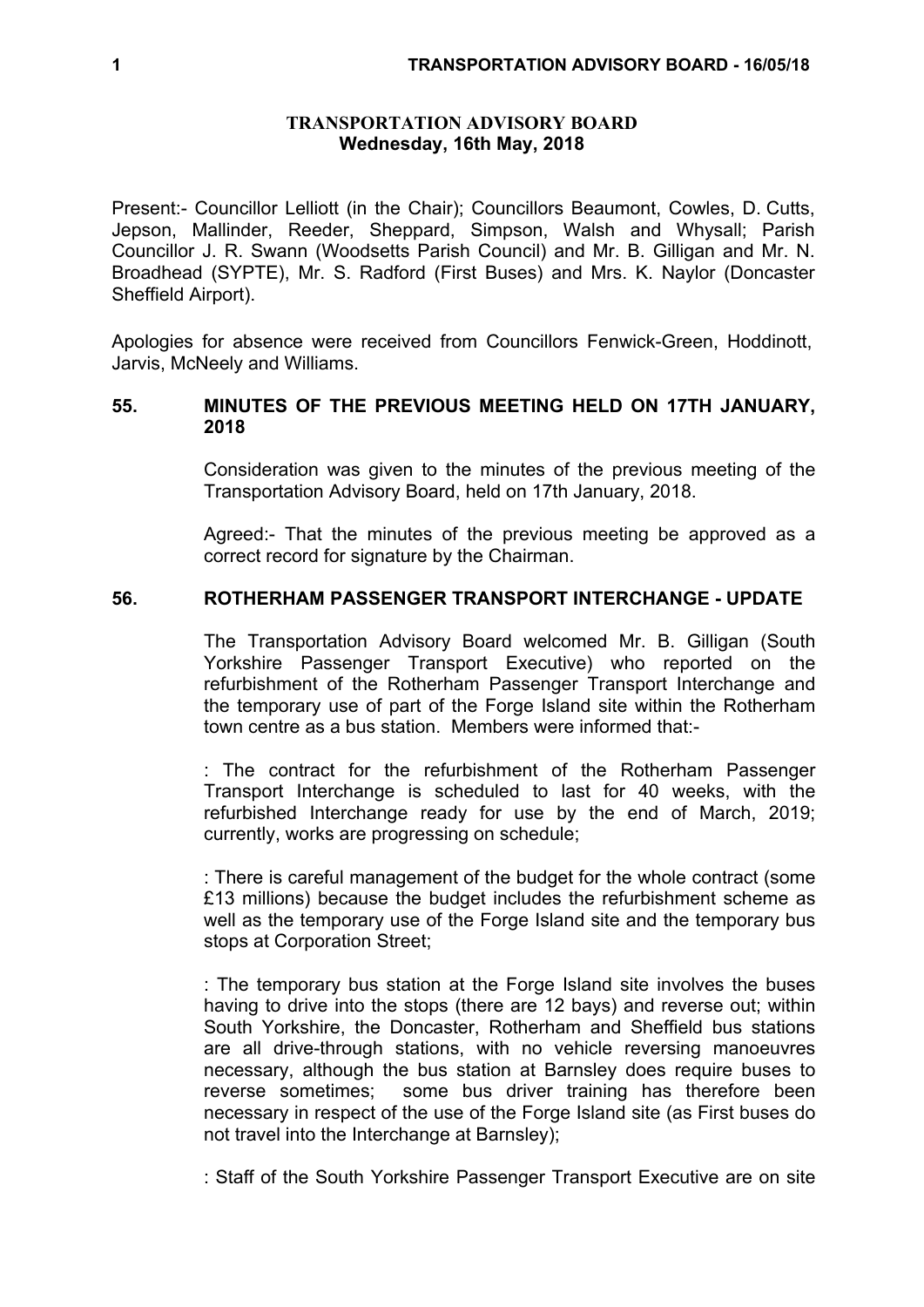## **TRANSPORTATION ADVISORY BOARD Wednesday, 16th May, 2018**

Present:- Councillor Lelliott (in the Chair); Councillors Beaumont, Cowles, D. Cutts, Jepson, Mallinder, Reeder, Sheppard, Simpson, Walsh and Whysall; Parish Councillor J. R. Swann (Woodsetts Parish Council) and Mr. B. Gilligan and Mr. N. Broadhead (SYPTE), Mr. S. Radford (First Buses) and Mrs. K. Naylor (Doncaster Sheffield Airport).

Apologies for absence were received from Councillors Fenwick-Green, Hoddinott, Jarvis, McNeely and Williams.

# **55. MINUTES OF THE PREVIOUS MEETING HELD ON 17TH JANUARY, 2018**

Consideration was given to the minutes of the previous meeting of the Transportation Advisory Board, held on 17th January, 2018.

Agreed:- That the minutes of the previous meeting be approved as a correct record for signature by the Chairman.

# **56. ROTHERHAM PASSENGER TRANSPORT INTERCHANGE - UPDATE**

The Transportation Advisory Board welcomed Mr. B. Gilligan (South Yorkshire Passenger Transport Executive) who reported on the refurbishment of the Rotherham Passenger Transport Interchange and the temporary use of part of the Forge Island site within the Rotherham town centre as a bus station. Members were informed that:-

: The contract for the refurbishment of the Rotherham Passenger Transport Interchange is scheduled to last for 40 weeks, with the refurbished Interchange ready for use by the end of March, 2019; currently, works are progressing on schedule;

: There is careful management of the budget for the whole contract (some £13 millions) because the budget includes the refurbishment scheme as well as the temporary use of the Forge Island site and the temporary bus stops at Corporation Street;

: The temporary bus station at the Forge Island site involves the buses having to drive into the stops (there are 12 bays) and reverse out; within South Yorkshire, the Doncaster, Rotherham and Sheffield bus stations are all drive-through stations, with no vehicle reversing manoeuvres necessary, although the bus station at Barnsley does require buses to reverse sometimes; some bus driver training has therefore been necessary in respect of the use of the Forge Island site (as First buses do not travel into the Interchange at Barnsley);

: Staff of the South Yorkshire Passenger Transport Executive are on site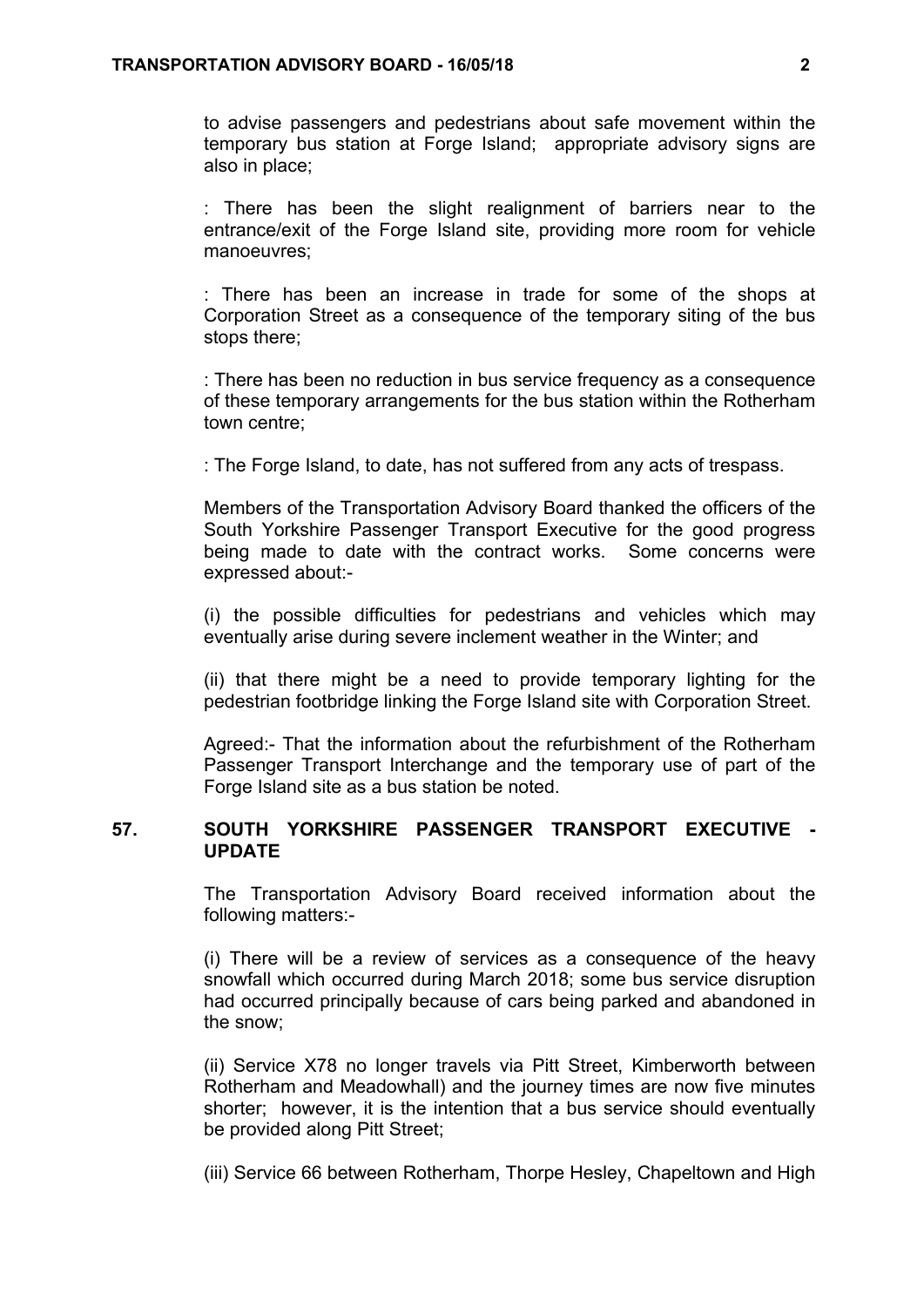to advise passengers and pedestrians about safe movement within the temporary bus station at Forge Island; appropriate advisory signs are also in place;

: There has been the slight realignment of barriers near to the entrance/exit of the Forge Island site, providing more room for vehicle manoeuvres;

: There has been an increase in trade for some of the shops at Corporation Street as a consequence of the temporary siting of the bus stops there;

: There has been no reduction in bus service frequency as a consequence of these temporary arrangements for the bus station within the Rotherham town centre;

: The Forge Island, to date, has not suffered from any acts of trespass.

Members of the Transportation Advisory Board thanked the officers of the South Yorkshire Passenger Transport Executive for the good progress being made to date with the contract works. Some concerns were expressed about:-

(i) the possible difficulties for pedestrians and vehicles which may eventually arise during severe inclement weather in the Winter; and

(ii) that there might be a need to provide temporary lighting for the pedestrian footbridge linking the Forge Island site with Corporation Street.

Agreed:- That the information about the refurbishment of the Rotherham Passenger Transport Interchange and the temporary use of part of the Forge Island site as a bus station be noted.

# **57. SOUTH YORKSHIRE PASSENGER TRANSPORT EXECUTIVE - UPDATE**

The Transportation Advisory Board received information about the following matters:-

(i) There will be a review of services as a consequence of the heavy snowfall which occurred during March 2018; some bus service disruption had occurred principally because of cars being parked and abandoned in the snow;

(ii) Service X78 no longer travels via Pitt Street, Kimberworth between Rotherham and Meadowhall) and the journey times are now five minutes shorter; however, it is the intention that a bus service should eventually be provided along Pitt Street;

(iii) Service 66 between Rotherham, Thorpe Hesley, Chapeltown and High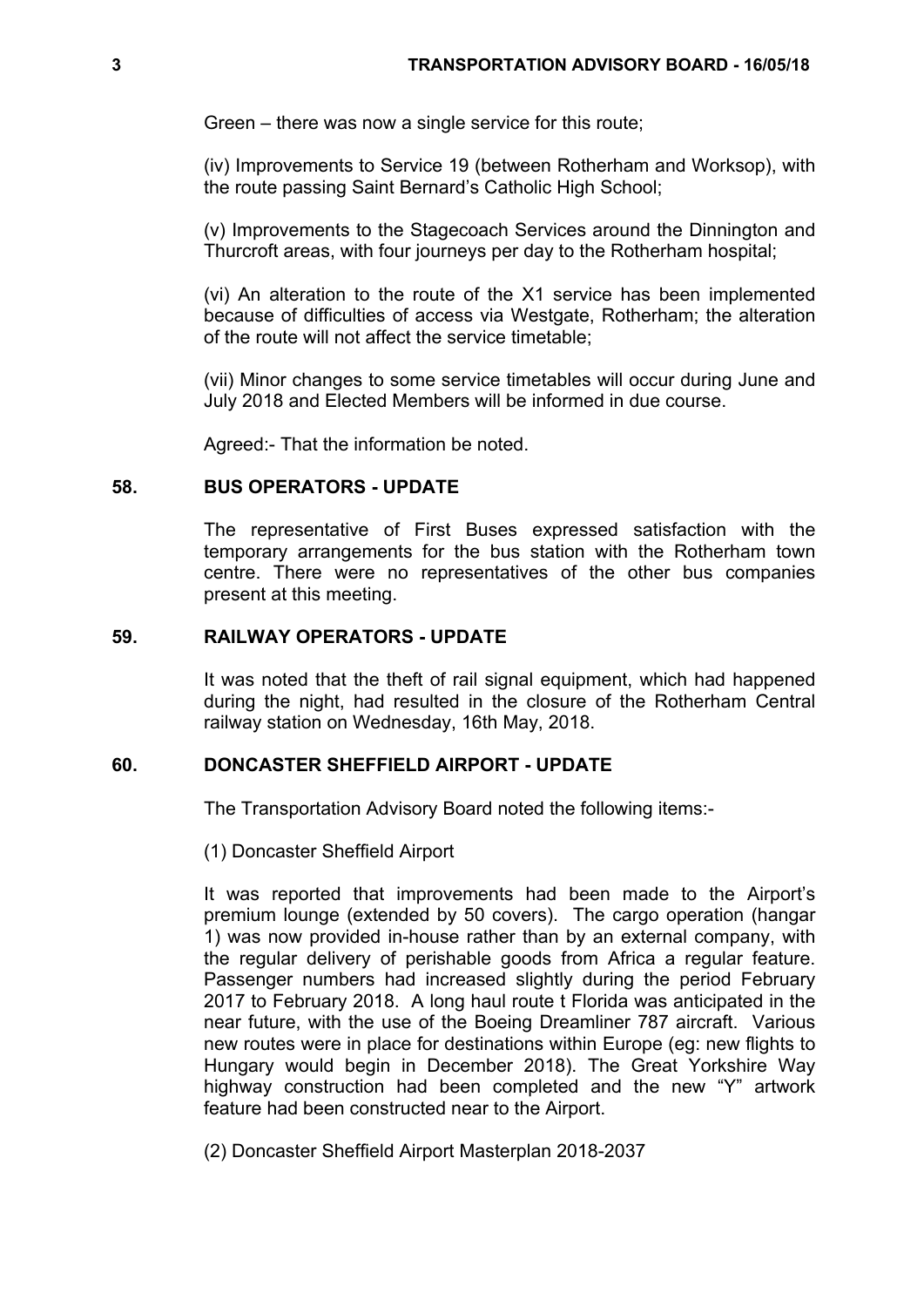Green – there was now a single service for this route;

(iv) Improvements to Service 19 (between Rotherham and Worksop), with the route passing Saint Bernard's Catholic High School;

(v) Improvements to the Stagecoach Services around the Dinnington and Thurcroft areas, with four journeys per day to the Rotherham hospital;

(vi) An alteration to the route of the X1 service has been implemented because of difficulties of access via Westgate, Rotherham; the alteration of the route will not affect the service timetable;

(vii) Minor changes to some service timetables will occur during June and July 2018 and Elected Members will be informed in due course.

Agreed:- That the information be noted.

## **58. BUS OPERATORS - UPDATE**

The representative of First Buses expressed satisfaction with the temporary arrangements for the bus station with the Rotherham town centre. There were no representatives of the other bus companies present at this meeting.

#### **59. RAILWAY OPERATORS - UPDATE**

It was noted that the theft of rail signal equipment, which had happened during the night, had resulted in the closure of the Rotherham Central railway station on Wednesday, 16th May, 2018.

## **60. DONCASTER SHEFFIELD AIRPORT - UPDATE**

The Transportation Advisory Board noted the following items:-

(1) Doncaster Sheffield Airport

It was reported that improvements had been made to the Airport's premium lounge (extended by 50 covers). The cargo operation (hangar 1) was now provided in-house rather than by an external company, with the regular delivery of perishable goods from Africa a regular feature. Passenger numbers had increased slightly during the period February 2017 to February 2018. A long haul route t Florida was anticipated in the near future, with the use of the Boeing Dreamliner 787 aircraft. Various new routes were in place for destinations within Europe (eg: new flights to Hungary would begin in December 2018). The Great Yorkshire Way highway construction had been completed and the new "Y" artwork feature had been constructed near to the Airport.

(2) Doncaster Sheffield Airport Masterplan 2018-2037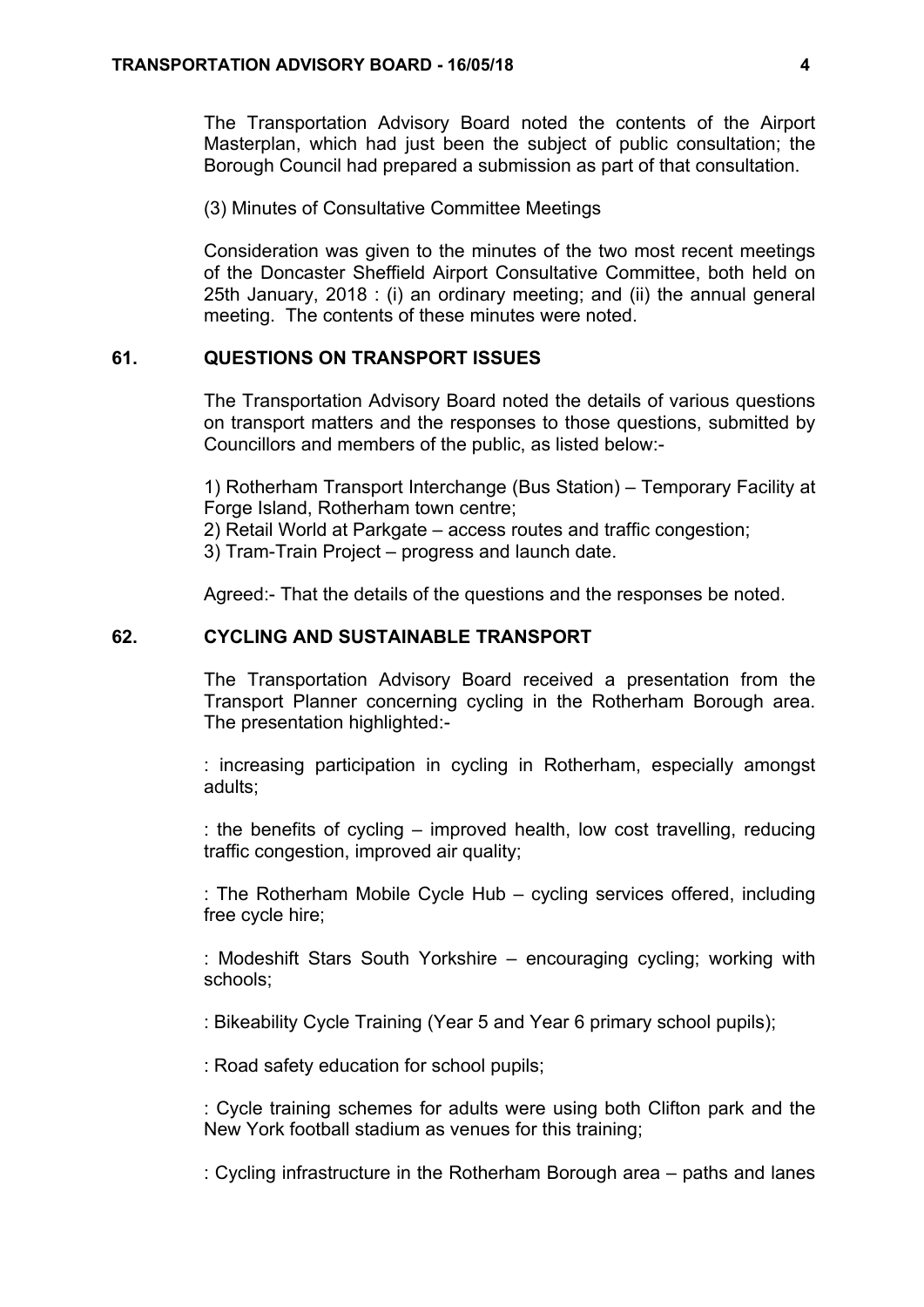The Transportation Advisory Board noted the contents of the Airport Masterplan, which had just been the subject of public consultation; the Borough Council had prepared a submission as part of that consultation.

(3) Minutes of Consultative Committee Meetings

Consideration was given to the minutes of the two most recent meetings of the Doncaster Sheffield Airport Consultative Committee, both held on 25th January, 2018 : (i) an ordinary meeting; and (ii) the annual general meeting. The contents of these minutes were noted.

## **61. QUESTIONS ON TRANSPORT ISSUES**

The Transportation Advisory Board noted the details of various questions on transport matters and the responses to those questions, submitted by Councillors and members of the public, as listed below:-

1) Rotherham Transport Interchange (Bus Station) – Temporary Facility at Forge Island, Rotherham town centre;

2) Retail World at Parkgate – access routes and traffic congestion;

3) Tram-Train Project – progress and launch date.

Agreed:- That the details of the questions and the responses be noted.

## **62. CYCLING AND SUSTAINABLE TRANSPORT**

The Transportation Advisory Board received a presentation from the Transport Planner concerning cycling in the Rotherham Borough area. The presentation highlighted:-

: increasing participation in cycling in Rotherham, especially amongst adults;

: the benefits of cycling – improved health, low cost travelling, reducing traffic congestion, improved air quality;

: The Rotherham Mobile Cycle Hub – cycling services offered, including free cycle hire;

: Modeshift Stars South Yorkshire – encouraging cycling; working with schools;

: Bikeability Cycle Training (Year 5 and Year 6 primary school pupils);

: Road safety education for school pupils;

: Cycle training schemes for adults were using both Clifton park and the New York football stadium as venues for this training;

: Cycling infrastructure in the Rotherham Borough area – paths and lanes